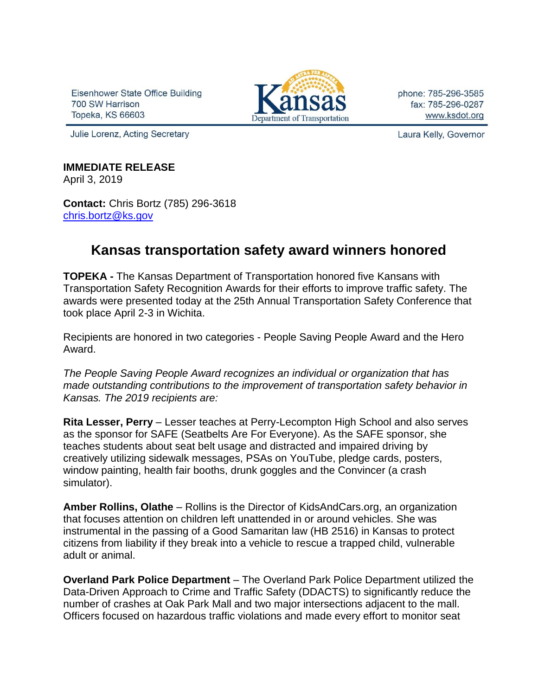Eisenhower State Office Building 700 SW Harrison Topeka, KS 66603



phone: 785-296-3585 fax: 785-296-0287 www.ksdot.org

Julie Lorenz, Acting Secretary

Laura Kelly, Governor

## **IMMEDIATE RELEASE**

April 3, 2019

**Contact:** Chris Bortz (785) 296-3618 [chris.bortz@ks.gov](mailto:chris.bortz@ks.gov)

## **Kansas transportation safety award winners honored**

**TOPEKA -** The Kansas Department of Transportation honored five Kansans with Transportation Safety Recognition Awards for their efforts to improve traffic safety. The awards were presented today at the 25th Annual Transportation Safety Conference that took place April 2-3 in Wichita.

Recipients are honored in two categories - People Saving People Award and the Hero Award.

*The People Saving People Award recognizes an individual or organization that has made outstanding contributions to the improvement of transportation safety behavior in Kansas. The 2019 recipients are:* 

**Rita Lesser, Perry** – Lesser teaches at Perry-Lecompton High School and also serves as the sponsor for SAFE (Seatbelts Are For Everyone). As the SAFE sponsor, she teaches students about seat belt usage and distracted and impaired driving by creatively utilizing sidewalk messages, PSAs on YouTube, pledge cards, posters, window painting, health fair booths, drunk goggles and the Convincer (a crash simulator).

**Amber Rollins, Olathe** – Rollins is the Director of KidsAndCars.org, an organization that focuses attention on children left unattended in or around vehicles. She was instrumental in the passing of a Good Samaritan law (HB 2516) in Kansas to protect citizens from liability if they break into a vehicle to rescue a trapped child, vulnerable adult or animal.

**Overland Park Police Department** – The Overland Park Police Department utilized the Data-Driven Approach to Crime and Traffic Safety (DDACTS) to significantly reduce the number of crashes at Oak Park Mall and two major intersections adjacent to the mall. Officers focused on hazardous traffic violations and made every effort to monitor seat